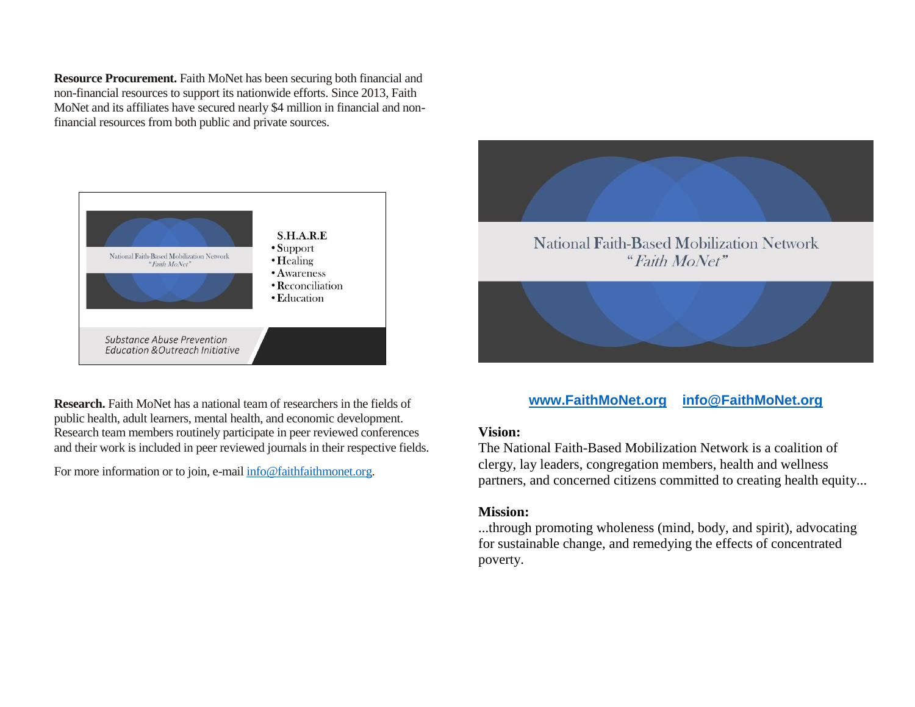**Resource Procurement.** Faith MoNet has been securing both financial and non-financial resources to support its nationwide efforts. Since 2013, Faith MoNet and its affiliates have secured nearly \$4 million in financial and nonfinancial resources from both public and private sources.



**Research.** Faith MoNet has a national team of researchers in the fields of public health, adult learners, mental health, and economic development. Research team members routinely participate in peer reviewed conferences and their work is included in peer reviewed journals in their respective fields.

For more information or to join, e-mai[l info@faithfaithmonet.org.](mailto:info@faithfaithmonet.org)



## **[www.FaithMoNet.org](http://www.faithmonet.org/) [info@FaithMoNet.org](mailto:info@FaithMoNet.org)**

#### **Vision:**

The National Faith-Based Mobilization Network is a coalition of clergy, lay leaders, congregation members, health and wellness partners, and concerned citizens committed to creating health equity...

#### **Mission:**

...through promoting wholeness (mind, body, and spirit), advocating for sustainable change, and remedying the effects of concentrated poverty.